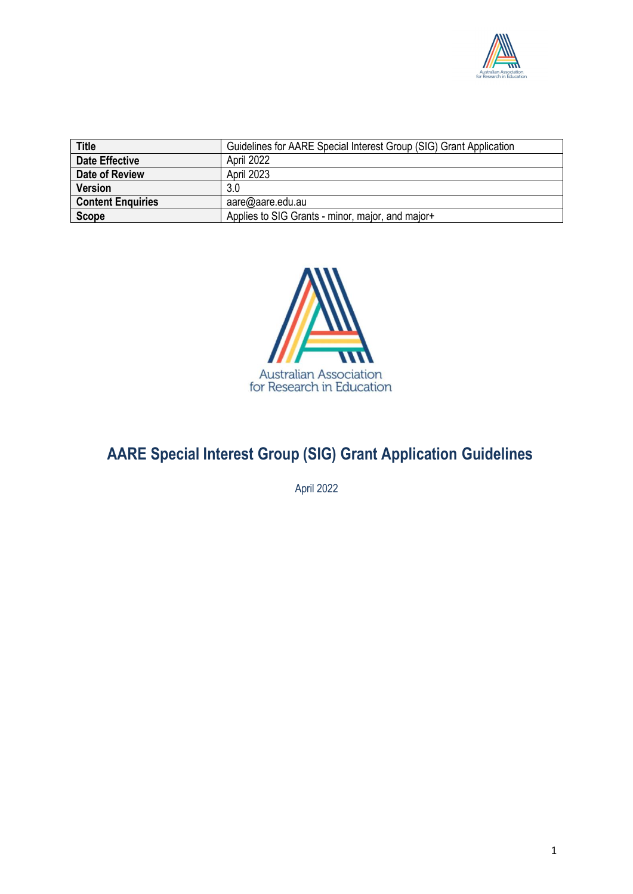

| <b>Title</b>             | Guidelines for AARE Special Interest Group (SIG) Grant Application |
|--------------------------|--------------------------------------------------------------------|
| <b>Date Effective</b>    | April 2022                                                         |
| Date of Review           | April 2023                                                         |
| <b>Version</b>           | 3.0                                                                |
| <b>Content Enquiries</b> | aare@aare.edu.au                                                   |
| <b>Scope</b>             | Applies to SIG Grants - minor, major, and major+                   |



# **AARE Special Interest Group (SIG) Grant Application Guidelines**

April 2022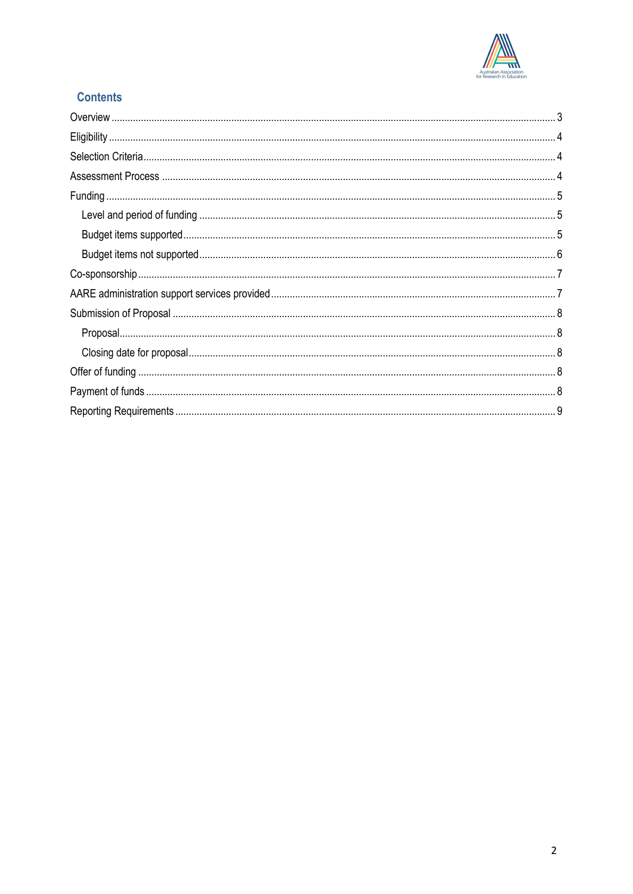

# **Contents**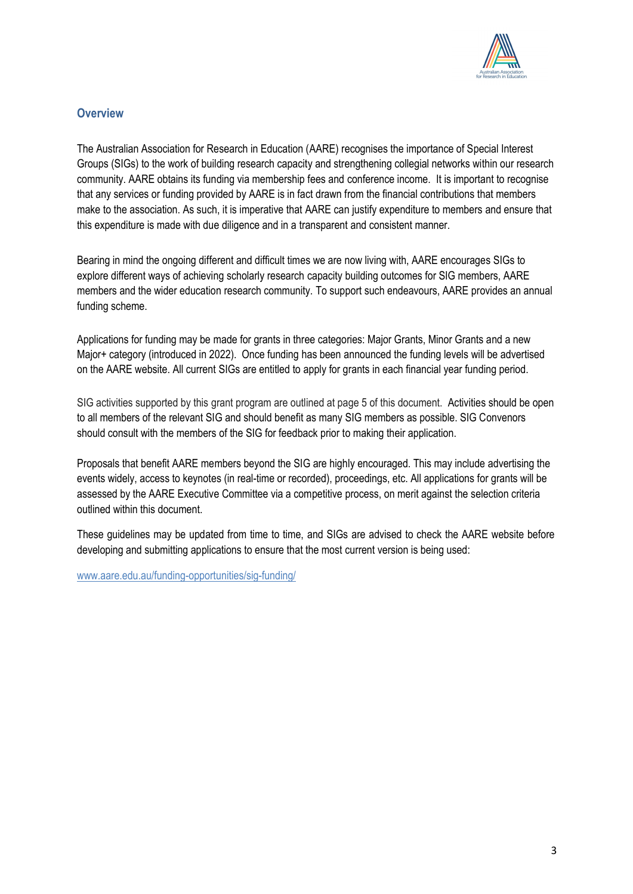

## **Overview**

The Australian Association for Research in Education (AARE) recognises the importance of Special Interest Groups (SIGs) to the work of building research capacity and strengthening collegial networks within our research community. AARE obtains its funding via membership fees and conference income. It is important to recognise that any services or funding provided by AARE is in fact drawn from the financial contributions that members make to the association. As such, it is imperative that AARE can justify expenditure to members and ensure that this expenditure is made with due diligence and in a transparent and consistent manner.

Bearing in mind the ongoing different and difficult times we are now living with, AARE encourages SIGs to explore different ways of achieving scholarly research capacity building outcomes for SIG members, AARE members and the wider education research community. To support such endeavours, AARE provides an annual funding scheme.

Applications for funding may be made for grants in three categories: Major Grants, Minor Grants and a new Major+ category (introduced in 2022). Once funding has been announced the funding levels will be advertised on the AARE website. All current SIGs are entitled to apply for grants in each financial year funding period.

SIG activities supported by this grant program are outlined at page 5 of this document. Activities should be open to all members of the relevant SIG and should benefit as many SIG members as possible. SIG Convenors should consult with the members of the SIG for feedback prior to making their application.

Proposals that benefit AARE members beyond the SIG are highly encouraged. This may include advertising the events widely, access to keynotes (in real-time or recorded), proceedings, etc. All applications for grants will be assessed by the AARE Executive Committee via a competitive process, on merit against the selection criteria outlined within this document.

These guidelines may be updated from time to time, and SIGs are advised to check the AARE website before developing and submitting applications to ensure that the most current version is being used:

www.aare.edu.au/funding-opportunities/sig-funding/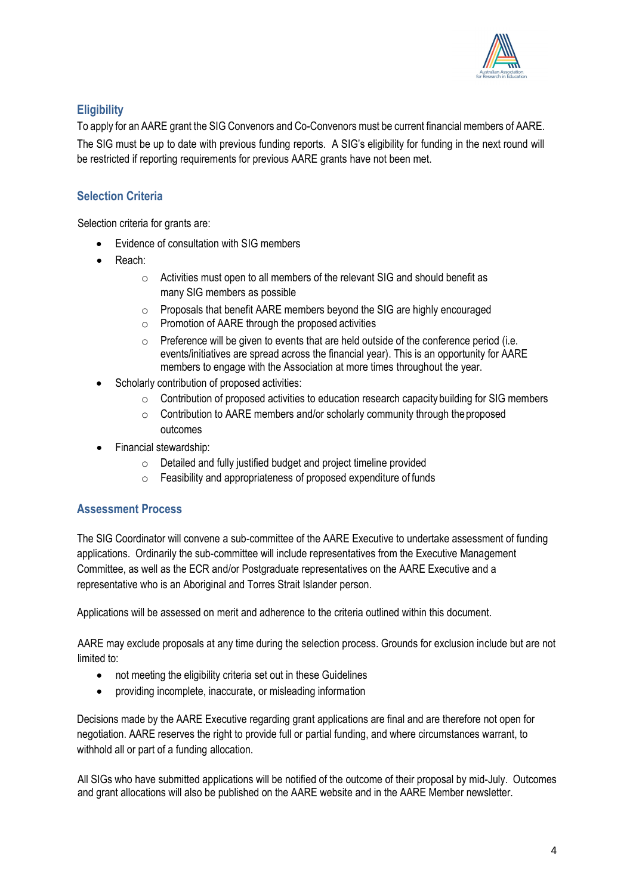

# **Eligibility**

To apply for an AARE grant the SIG Convenors and Co-Convenors must be current financial members of AARE.

The SIG must be up to date with previous funding reports. A SIG's eligibility for funding in the next round will be restricted if reporting requirements for previous AARE grants have not been met.

# **Selection Criteria**

Selection criteria for grants are:

- Evidence of consultation with SIG members
- Reach:
	- o Activities must open to all members of the relevant SIG and should benefit as many SIG members as possible
	- o Proposals that benefit AARE members beyond the SIG are highly encouraged
	- $\circ$  Promotion of AARE through the proposed activities
	- o Preference will be given to events that are held outside of the conference period (i.e. events/initiatives are spread across the financial year). This is an opportunity for AARE members to engage with the Association at more times throughout the year.
- Scholarly contribution of proposed activities:
	- $\circ$  Contribution of proposed activities to education research capacity building for SIG members
	- $\circ$  Contribution to AARE members and/or scholarly community through the proposed outcomes
- Financial stewardship:
	- $\circ$  Detailed and fully justified budget and project timeline provided
	- o Feasibility and appropriateness of proposed expenditure of funds

#### **Assessment Process**

The SIG Coordinator will convene a sub-committee of the AARE Executive to undertake assessment of funding applications. Ordinarily the sub-committee will include representatives from the Executive Management Committee, as well as the ECR and/or Postgraduate representatives on the AARE Executive and a representative who is an Aboriginal and Torres Strait Islander person.

Applications will be assessed on merit and adherence to the criteria outlined within this document.

AARE may exclude proposals at any time during the selection process. Grounds for exclusion include but are not limited to:

- not meeting the eligibility criteria set out in these Guidelines
- providing incomplete, inaccurate, or misleading information

Decisions made by the AARE Executive regarding grant applications are final and are therefore not open for negotiation. AARE reserves the right to provide full or partial funding, and where circumstances warrant, to withhold all or part of a funding allocation.

All SIGs who have submitted applications will be notified of the outcome of their proposal by mid-July. Outcomes and grant allocations will also be published on the AARE website and in the AARE Member newsletter.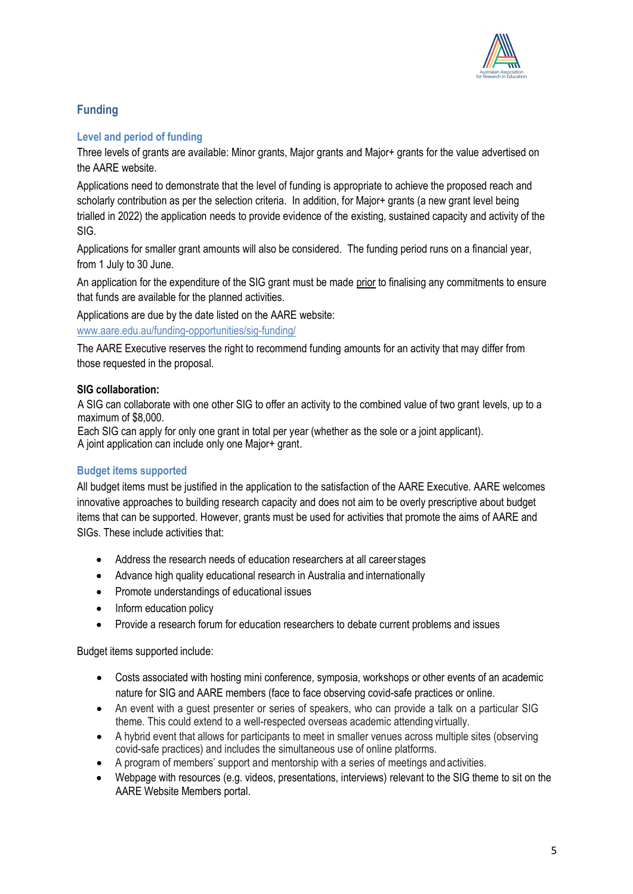

# **Funding**

## **Level and period of funding**

Three levels of grants are available: Minor grants, Major grants and Major+ grants for the value advertised on the AARE website.

Applications need to demonstrate that the level of funding is appropriate to achieve the proposed reach and scholarly contribution as per the selection criteria. In addition, for Major+ grants (a new grant level being trialled in 2022) the application needs to provide evidence of the existing, sustained capacity and activity of the SIG.

Applications for smaller grant amounts will also be considered. The funding period runs on a financial year, from 1 July to 30 June.

An application for the expenditure of the SIG grant must be made prior to finalising any commitments to ensure that funds are available for the planned activities.

Applications are due by the date listed on the AARE website: www.aare.edu.au/funding-opportunities/sig-funding/

The AARE Executive reserves the right to recommend funding amounts for an activity that may differ from those requested in the proposal.

## **SIG collaboration:**

A SIG can collaborate with one other SIG to offer an activity to the combined value of two grant levels, up to a maximum of \$8,000.

Each SIG can apply for only one grant in total per year (whether as the sole or a joint applicant). A joint application can include only one Major+ grant.

# **Budget items supported**

All budget items must be justified in the application to the satisfaction of the AARE Executive. AARE welcomes innovative approaches to building research capacity and does not aim to be overly prescriptive about budget items that can be supported. However, grants must be used for activities that promote the aims of AARE and SIGs. These include activities that:

- Address the research needs of education researchers at all career stages
- Advance high quality educational research in Australia and internationally
- Promote understandings of educational issues
- Inform education policy
- Provide a research forum for education researchers to debate current problems and issues

Budget items supported include:

- Costs associated with hosting mini conference, symposia, workshops or other events of an academic nature for SIG and AARE members (face to face observing covid-safe practices or online.
- An event with a guest presenter or series of speakers, who can provide a talk on a particular SIG theme. This could extend to a well-respected overseas academic attending virtually.
- A hybrid event that allows for participants to meet in smaller venues across multiple sites (observing covid-safe practices) and includes the simultaneous use of online platforms.
- A program of members' support and mentorship with a series of meetings and activities.
- Webpage with resources (e.g. videos, presentations, interviews) relevant to the SIG theme to sit on the AARE Website Members portal.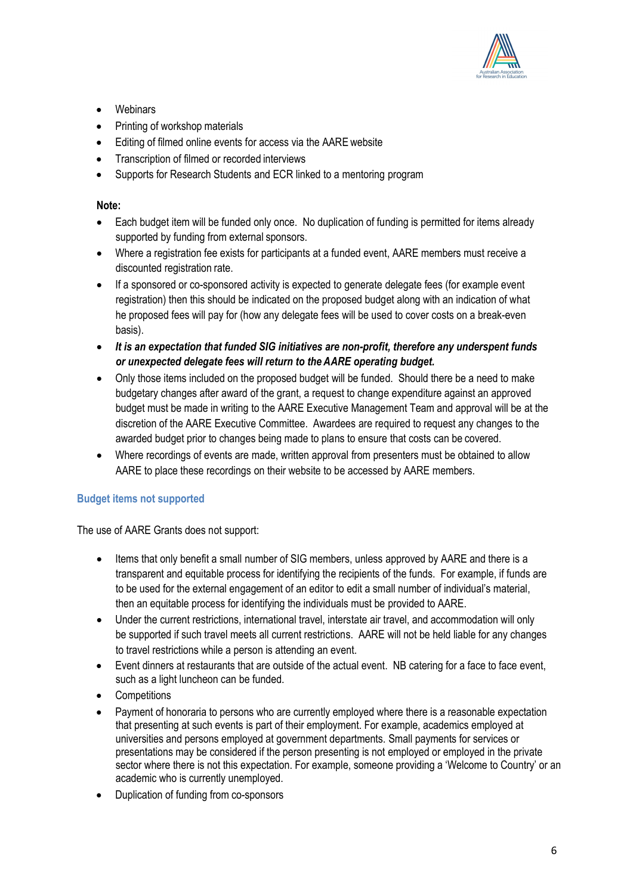

- **Webinars**
- Printing of workshop materials
- Editing of filmed online events for access via the AAREwebsite
- Transcription of filmed or recorded interviews
- Supports for Research Students and ECR linked to a mentoring program

#### **Note:**

- Each budget item will be funded only once. No duplication of funding is permitted for items already supported by funding from external sponsors.
- Where a registration fee exists for participants at a funded event, AARE members must receive a discounted registration rate.
- If a sponsored or co-sponsored activity is expected to generate delegate fees (for example event registration) then this should be indicated on the proposed budget along with an indication of what he proposed fees will pay for (how any delegate fees will be used to cover costs on a break-even basis).
- *It is an expectation that funded SIG initiatives are non-profit, therefore any underspent funds or unexpected delegate fees will return to the AARE operating budget.*
- Only those items included on the proposed budget will be funded. Should there be a need to make budgetary changes after award of the grant, a request to change expenditure against an approved budget must be made in writing to the AARE Executive Management Team and approval will be at the discretion of the AARE Executive Committee. Awardees are required to request any changes to the awarded budget prior to changes being made to plans to ensure that costs can be covered.
- Where recordings of events are made, written approval from presenters must be obtained to allow AARE to place these recordings on their website to be accessed by AARE members.

#### **Budget items not supported**

The use of AARE Grants does not support:

- Items that only benefit a small number of SIG members, unless approved by AARE and there is a transparent and equitable process for identifying the recipients of the funds. For example, if funds are to be used for the external engagement of an editor to edit a small number of individual's material, then an equitable process for identifying the individuals must be provided to AARE.
- Under the current restrictions, international travel, interstate air travel, and accommodation will only be supported if such travel meets all current restrictions. AARE will not be held liable for any changes to travel restrictions while a person is attending an event.
- Event dinners at restaurants that are outside of the actual event. NB catering for a face to face event, such as a light luncheon can be funded.
- Competitions
- Payment of honoraria to persons who are currently employed where there is a reasonable expectation that presenting at such events is part of their employment. For example, academics employed at universities and persons employed at government departments. Small payments for services or presentations may be considered if the person presenting is not employed or employed in the private sector where there is not this expectation. For example, someone providing a 'Welcome to Country' or an academic who is currently unemployed.
- Duplication of funding from co-sponsors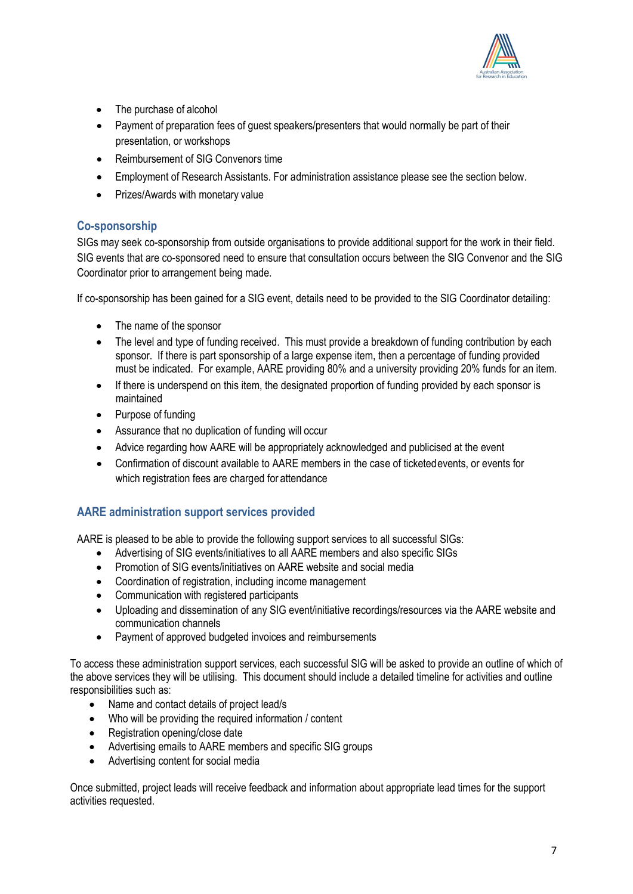

- The purchase of alcohol
- Payment of preparation fees of guest speakers/presenters that would normally be part of their presentation, or workshops
- Reimbursement of SIG Convenors time
- Employment of Research Assistants. For administration assistance please see the section below.
- Prizes/Awards with monetary value

## **Co-sponsorship**

SIGs may seek co-sponsorship from outside organisations to provide additional support for the work in their field. SIG events that are co-sponsored need to ensure that consultation occurs between the SIG Convenor and the SIG Coordinator prior to arrangement being made.

If co-sponsorship has been gained for a SIG event, details need to be provided to the SIG Coordinator detailing:

- The name of the sponsor
- The level and type of funding received. This must provide a breakdown of funding contribution by each sponsor. If there is part sponsorship of a large expense item, then a percentage of funding provided must be indicated. For example, AARE providing 80% and a university providing 20% funds for an item.
- If there is underspend on this item, the designated proportion of funding provided by each sponsor is maintained
- Purpose of funding
- Assurance that no duplication of funding will occur
- Advice regarding how AARE will be appropriately acknowledged and publicised at the event
- Confirmation of discount available to AARE members in the case of ticketedevents, or events for which registration fees are charged for attendance

#### **AARE administration support services provided**

AARE is pleased to be able to provide the following support services to all successful SIGs:

- Advertising of SIG events/initiatives to all AARE members and also specific SIGs
- Promotion of SIG events/initiatives on AARE website and social media
- Coordination of registration, including income management
- Communication with registered participants
- Uploading and dissemination of any SIG event/initiative recordings/resources via the AARE website and communication channels
- Payment of approved budgeted invoices and reimbursements

To access these administration support services, each successful SIG will be asked to provide an outline of which of the above services they will be utilising. This document should include a detailed timeline for activities and outline responsibilities such as:

- Name and contact details of project lead/s
- Who will be providing the required information / content
- Registration opening/close date
- Advertising emails to AARE members and specific SIG groups
- Advertising content for social media

Once submitted, project leads will receive feedback and information about appropriate lead times for the support activities requested.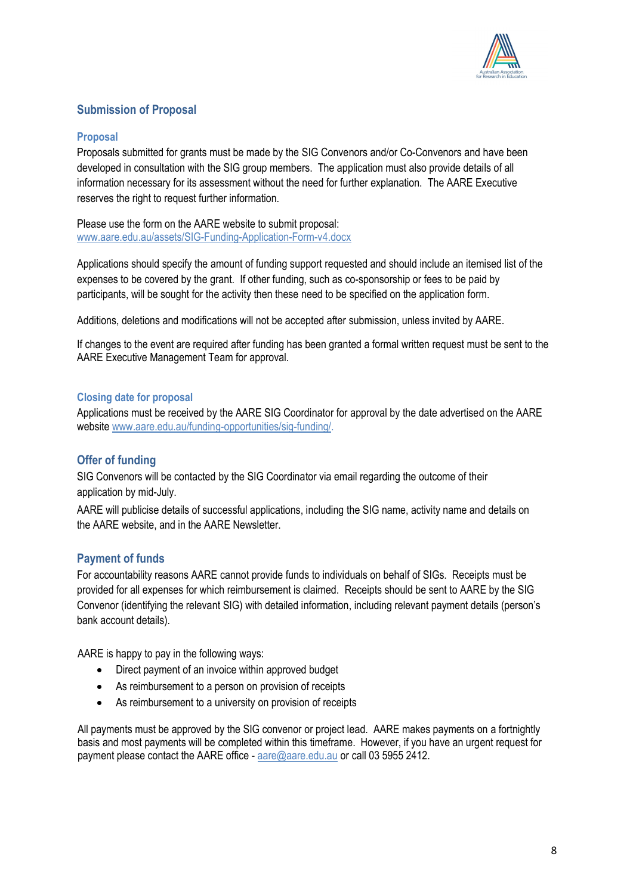

# **Submission of Proposal**

#### **Proposal**

Proposals submitted for grants must be made by the SIG Convenors and/or Co-Convenors and have been developed in consultation with the SIG group members. The application must also provide details of all information necessary for its assessment without the need for further explanation. The AARE Executive reserves the right to request further information.

Please use the form on the AARE website to submit proposal: www.aare.edu.au/assets/SIG-Funding-Application-Form-v4.docx

Applications should specify the amount of funding support requested and should include an itemised list of the expenses to be covered by the grant. If other funding, such as co-sponsorship or fees to be paid by participants, will be sought for the activity then these need to be specified on the application form.

Additions, deletions and modifications will not be accepted after submission, unless invited by AARE.

If changes to the event are required after funding has been granted a formal written request must be sent to the AARE Executive Management Team for approval.

#### **Closing date for proposal**

Applications must be received by the AARE SIG Coordinator for approval by the date advertised on the AARE website www.aare.edu.au/funding-opportunities/sig-funding/.

#### **Offer of funding**

SIG Convenors will be contacted by the SIG Coordinator via email regarding the outcome of their application by mid-July.

AARE will publicise details of successful applications, including the SIG name, activity name and details on the AARE website, and in the AARE Newsletter.

#### **Payment of funds**

For accountability reasons AARE cannot provide funds to individuals on behalf of SIGs. Receipts must be provided for all expenses for which reimbursement is claimed. Receipts should be sent to AARE by the SIG Convenor (identifying the relevant SIG) with detailed information, including relevant payment details (person's bank account details).

AARE is happy to pay in the following ways:

- Direct payment of an invoice within approved budget
- As reimbursement to a person on provision of receipts
- As reimbursement to a university on provision of receipts

All payments must be approved by the SIG convenor or project lead. AARE makes payments on a fortnightly basis and most payments will be completed within this timeframe. However, if you have an urgent request for payment please contact the AARE office - aare@aare.edu.au or call 03 5955 2412.